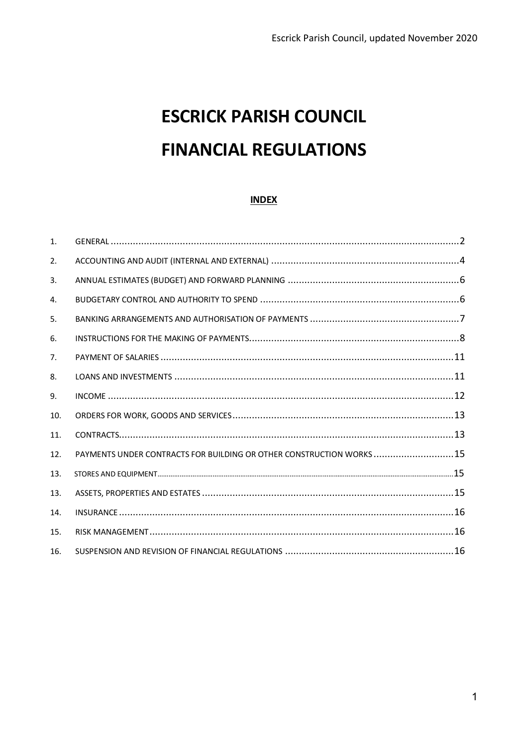# **ESCRICK PARISH COUNCIL FINANCIAL REGULATIONS**

#### **INDEX**

| 1.  |                                                                     |  |
|-----|---------------------------------------------------------------------|--|
| 2.  |                                                                     |  |
| 3.  |                                                                     |  |
| 4.  |                                                                     |  |
| 5.  |                                                                     |  |
| 6.  |                                                                     |  |
| 7.  |                                                                     |  |
| 8.  |                                                                     |  |
| 9.  |                                                                     |  |
| 10. |                                                                     |  |
| 11. |                                                                     |  |
| 12. | PAYMENTS UNDER CONTRACTS FOR BUILDING OR OTHER CONSTRUCTION WORKS15 |  |
| 13. |                                                                     |  |
| 13. |                                                                     |  |
| 14. |                                                                     |  |
| 15. |                                                                     |  |
| 16. |                                                                     |  |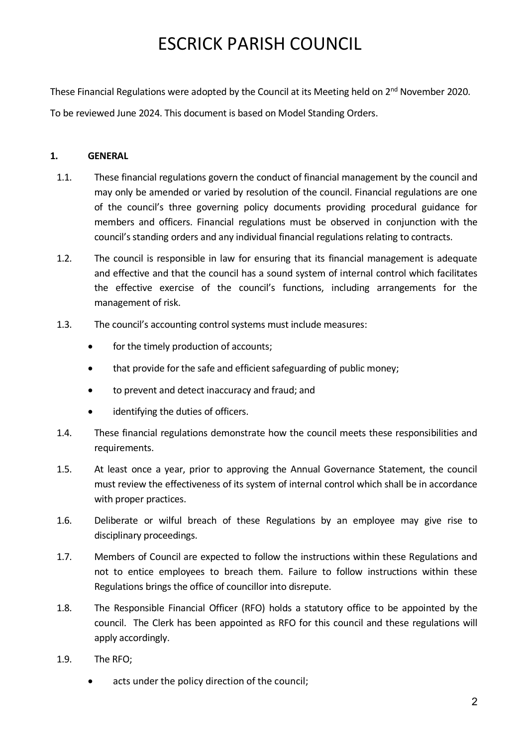These Financial Regulations were adopted by the Council at its Meeting held on 2<sup>nd</sup> November 2020.

To be reviewed June 2024. This document is based on Model Standing Orders.

### <span id="page-1-0"></span>**1. GENERAL**

- 1.1. These financial regulations govern the conduct of financial management by the council and may only be amended or varied by resolution of the council. Financial regulations are one of the council's three governing policy documents providing procedural guidance for members and officers. Financial regulations must be observed in conjunction with the council's standing orders and any individual financial regulations relating to contracts.
- 1.2. The council is responsible in law for ensuring that its financial management is adequate and effective and that the council has a sound system of internal control which facilitates the effective exercise of the council's functions, including arrangements for the management of risk.
- 1.3. The council's accounting control systems must include measures:
	- for the timely production of accounts:
	- that provide for the safe and efficient safeguarding of public money:
	- to prevent and detect inaccuracy and fraud; and
	- identifying the duties of officers.
- 1.4. These financial regulations demonstrate how the council meets these responsibilities and requirements.
- 1.5. At least once a year, prior to approving the Annual Governance Statement, the council must review the effectiveness of its system of internal control which shall be in accordance with proper practices.
- 1.6. Deliberate or wilful breach of these Regulations by an employee may give rise to disciplinary proceedings.
- 1.7. Members of Council are expected to follow the instructions within these Regulations and not to entice employees to breach them. Failure to follow instructions within these Regulations brings the office of councillor into disrepute.
- 1.8. The Responsible Financial Officer (RFO) holds a statutory office to be appointed by the council. The Clerk has been appointed as RFO for this council and these regulations will apply accordingly.
- 1.9. The RFO;
	- acts under the policy direction of the council;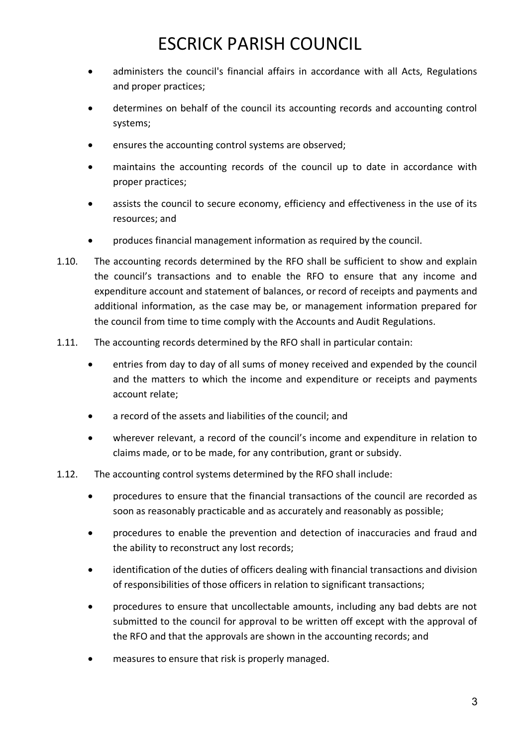- administers the council's financial affairs in accordance with all Acts, Regulations and proper practices;
- determines on behalf of the council its accounting records and accounting control systems;
- ensures the accounting control systems are observed;
- maintains the accounting records of the council up to date in accordance with proper practices;
- assists the council to secure economy, efficiency and effectiveness in the use of its resources; and
- produces financial management information as required by the council.
- 1.10. The accounting records determined by the RFO shall be sufficient to show and explain the council's transactions and to enable the RFO to ensure that any income and expenditure account and statement of balances, or record of receipts and payments and additional information, as the case may be, or management information prepared for the council from time to time comply with the Accounts and Audit Regulations.
- 1.11. The accounting records determined by the RFO shall in particular contain:
	- entries from day to day of all sums of money received and expended by the council and the matters to which the income and expenditure or receipts and payments account relate;
	- a record of the assets and liabilities of the council; and
	- wherever relevant, a record of the council's income and expenditure in relation to claims made, or to be made, for any contribution, grant or subsidy.
- 1.12. The accounting control systems determined by the RFO shall include:
	- procedures to ensure that the financial transactions of the council are recorded as soon as reasonably practicable and as accurately and reasonably as possible;
	- procedures to enable the prevention and detection of inaccuracies and fraud and the ability to reconstruct any lost records;
	- identification of the duties of officers dealing with financial transactions and division of responsibilities of those officers in relation to significant transactions;
	- procedures to ensure that uncollectable amounts, including any bad debts are not submitted to the council for approval to be written off except with the approval of the RFO and that the approvals are shown in the accounting records; and
	- measures to ensure that risk is properly managed.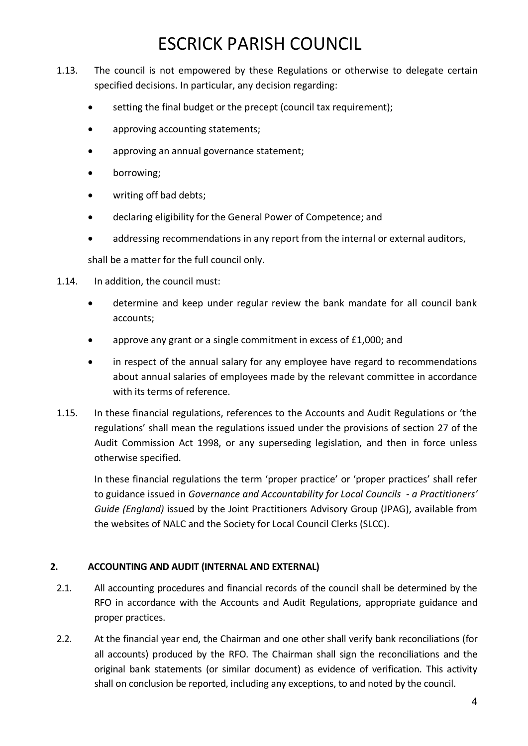- 1.13. The council is not empowered by these Regulations or otherwise to delegate certain specified decisions. In particular, any decision regarding:
	- setting the final budget or the precept (council tax requirement);
	- approving accounting statements;
	- approving an annual governance statement;
	- borrowing;
	- writing off bad debts;
	- declaring eligibility for the General Power of Competence; and
	- addressing recommendations in any report from the internal or external auditors,

shall be a matter for the full council only.

- 1.14. In addition, the council must:
	- determine and keep under regular review the bank mandate for all council bank accounts;
	- approve any grant or a single commitment in excess of £1,000; and
	- in respect of the annual salary for any employee have regard to recommendations about annual salaries of employees made by the relevant committee in accordance with its terms of reference.
- 1.15. In these financial regulations, references to the Accounts and Audit Regulations or 'the regulations' shall mean the regulations issued under the provisions of section 27 of the Audit Commission Act 1998, or any superseding legislation, and then in force unless otherwise specified.

In these financial regulations the term 'proper practice' or 'proper practices' shall refer to guidance issued in *Governance and Accountability for Local Councils - a Practitioners' Guide (England)* issued by the Joint Practitioners Advisory Group (JPAG), available from the websites of NALC and the Society for Local Council Clerks (SLCC).

### <span id="page-3-0"></span>**2. ACCOUNTING AND AUDIT (INTERNAL AND EXTERNAL)**

- 2.1. All accounting procedures and financial records of the council shall be determined by the RFO in accordance with the Accounts and Audit Regulations, appropriate guidance and proper practices.
- 2.2. At the financial year end, the Chairman and one other shall verify bank reconciliations (for all accounts) produced by the RFO. The Chairman shall sign the reconciliations and the original bank statements (or similar document) as evidence of verification. This activity shall on conclusion be reported, including any exceptions, to and noted by the council.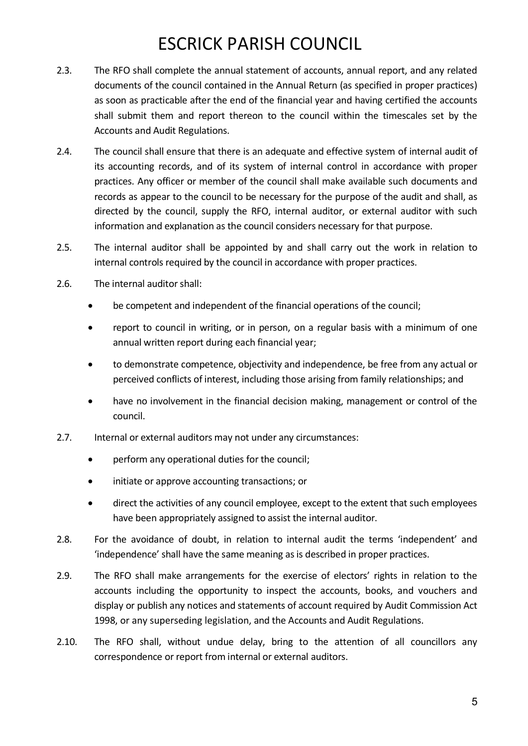- 2.3. The RFO shall complete the annual statement of accounts, annual report, and any related documents of the council contained in the Annual Return (as specified in proper practices) as soon as practicable after the end of the financial year and having certified the accounts shall submit them and report thereon to the council within the timescales set by the Accounts and Audit Regulations.
- 2.4. The council shall ensure that there is an adequate and effective system of internal audit of its accounting records, and of its system of internal control in accordance with proper practices. Any officer or member of the council shall make available such documents and records as appear to the council to be necessary for the purpose of the audit and shall, as directed by the council, supply the RFO, internal auditor, or external auditor with such information and explanation as the council considers necessary for that purpose.
- 2.5. The internal auditor shall be appointed by and shall carry out the work in relation to internal controls required by the council in accordance with proper practices.
- 2.6. The internal auditor shall:
	- be competent and independent of the financial operations of the council;
	- report to council in writing, or in person, on a regular basis with a minimum of one annual written report during each financial year;
	- to demonstrate competence, objectivity and independence, be free from any actual or perceived conflicts of interest, including those arising from family relationships; and
	- have no involvement in the financial decision making, management or control of the council.
- 2.7. Internal or external auditors may not under any circumstances:
	- perform any operational duties for the council;
	- initiate or approve accounting transactions; or
	- direct the activities of any council employee, except to the extent that such employees have been appropriately assigned to assist the internal auditor.
- 2.8. For the avoidance of doubt, in relation to internal audit the terms 'independent' and 'independence' shall have the same meaning as is described in proper practices.
- 2.9. The RFO shall make arrangements for the exercise of electors' rights in relation to the accounts including the opportunity to inspect the accounts, books, and vouchers and display or publish any notices and statements of account required by Audit Commission Act 1998, or any superseding legislation, and the Accounts and Audit Regulations.
- 2.10. The RFO shall, without undue delay, bring to the attention of all councillors any correspondence or report from internal or external auditors.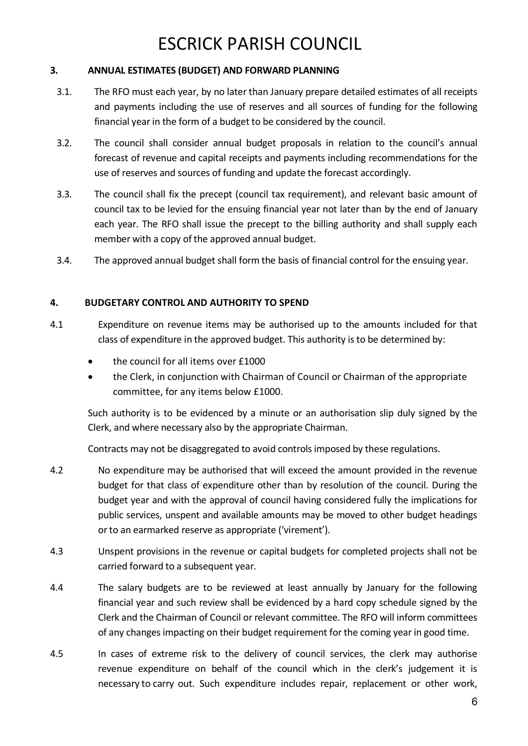### <span id="page-5-0"></span>**3. ANNUAL ESTIMATES (BUDGET) AND FORWARD PLANNING**

- 3.1. The RFO must each year, by no later than January prepare detailed estimates of all receipts and payments including the use of reserves and all sources of funding for the following financial year in the form of a budget to be considered by the council.
- 3.2. The council shall consider annual budget proposals in relation to the council's annual forecast of revenue and capital receipts and payments including recommendations for the use of reserves and sources of funding and update the forecast accordingly.
- 3.3. The council shall fix the precept (council tax requirement), and relevant basic amount of council tax to be levied for the ensuing financial year not later than by the end of January each year. The RFO shall issue the precept to the billing authority and shall supply each member with a copy of the approved annual budget.
- 3.4. The approved annual budget shall form the basis of financial control for the ensuing year.

### **4. BUDGETARY CONTROL AND AUTHORITY TO SPEND**

- 4.1 Expenditure on revenue items may be authorised up to the amounts included for that class of expenditure in the approved budget. This authority is to be determined by:
	- the council for all items over £1000
	- the Clerk, in conjunction with Chairman of Council or Chairman of the appropriate committee, for any items below £1000.

<span id="page-5-1"></span>Such authority is to be evidenced by a minute or an authorisation slip duly signed by the Clerk, and where necessary also by the appropriate Chairman.

Contracts may not be disaggregated to avoid controls imposed by these regulations.

- 4.2 No expenditure may be authorised that will exceed the amount provided in the revenue budget for that class of expenditure other than by resolution of the council. During the budget year and with the approval of council having considered fully the implications for public services, unspent and available amounts may be moved to other budget headings or to an earmarked reserve as appropriate ('virement').
- 4.3 Unspent provisions in the revenue or capital budgets for completed projects shall not be carried forward to a subsequent year.
- 4.4 The salary budgets are to be reviewed at least annually by January for the following financial year and such review shall be evidenced by a hard copy schedule signed by the Clerk and the Chairman of Council or relevant committee. The RFO will inform committees of any changes impacting on their budget requirement for the coming year in good time.
- 4.5 In cases of extreme risk to the delivery of council services, the clerk may authorise revenue expenditure on behalf of the council which in the clerk's judgement it is necessary to carry out. Such expenditure includes repair, replacement or other work,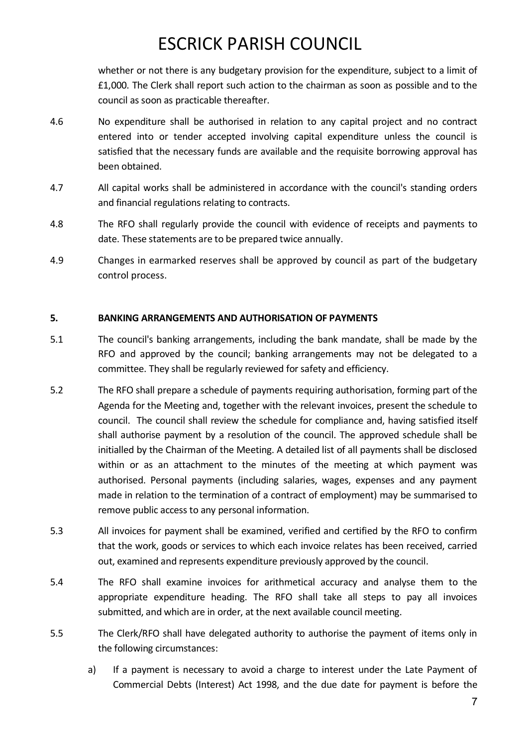whether or not there is any budgetary provision for the expenditure, subject to a limit of £1,000. The Clerk shall report such action to the chairman as soon as possible and to the council as soon as practicable thereafter.

- 4.6 No expenditure shall be authorised in relation to any capital project and no contract entered into or tender accepted involving capital expenditure unless the council is satisfied that the necessary funds are available and the requisite borrowing approval has been obtained.
- 4.7 All capital works shall be administered in accordance with the council's standing orders and financial regulations relating to contracts.
- 4.8 The RFO shall regularly provide the council with evidence of receipts and payments to date. These statements are to be prepared twice annually.
- 4.9 Changes in earmarked reserves shall be approved by council as part of the budgetary control process.

#### <span id="page-6-0"></span>**5. BANKING ARRANGEMENTS AND AUTHORISATION OF PAYMENTS**

- 5.1 The council's banking arrangements, including the bank mandate, shall be made by the RFO and approved by the council; banking arrangements may not be delegated to a committee. They shall be regularly reviewed for safety and efficiency.
- 5.2 The RFO shall prepare a schedule of payments requiring authorisation, forming part of the Agenda for the Meeting and, together with the relevant invoices, present the schedule to council. The council shall review the schedule for compliance and, having satisfied itself shall authorise payment by a resolution of the council. The approved schedule shall be initialled by the Chairman of the Meeting. A detailed list of all payments shall be disclosed within or as an attachment to the minutes of the meeting at which payment was authorised. Personal payments (including salaries, wages, expenses and any payment made in relation to the termination of a contract of employment) may be summarised to remove public access to any personal information.
- 5.3 All invoices for payment shall be examined, verified and certified by the RFO to confirm that the work, goods or services to which each invoice relates has been received, carried out, examined and represents expenditure previously approved by the council.
- 5.4 The RFO shall examine invoices for arithmetical accuracy and analyse them to the appropriate expenditure heading. The RFO shall take all steps to pay all invoices submitted, and which are in order, at the next available council meeting.
- 5.5 The Clerk/RFO shall have delegated authority to authorise the payment of items only in the following circumstances:
	- a) If a payment is necessary to avoid a charge to interest under the Late Payment of Commercial Debts (Interest) Act 1998, and the due date for payment is before the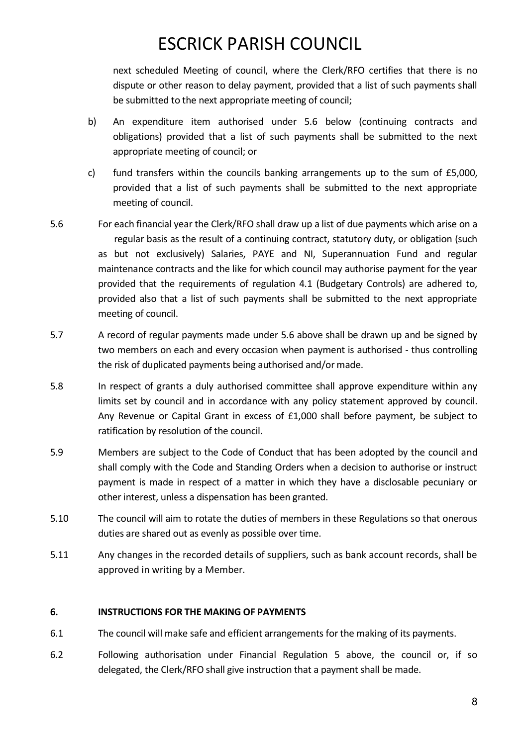next scheduled Meeting of council, where the Clerk/RFO certifies that there is no dispute or other reason to delay payment, provided that a list of such payments shall be submitted to the next appropriate meeting of council;

- b) An expenditure item authorised under 5.6 below (continuing contracts and obligations) provided that a list of such payments shall be submitted to the next appropriate meeting of council; or
- c) fund transfers within the councils banking arrangements up to the sum of £5,000, provided that a list of such payments shall be submitted to the next appropriate meeting of council.
- 5.6 For each financial year the Clerk/RFO shall draw up a list of due payments which arise on a regular basis as the result of a continuing contract, statutory duty, or obligation (such as but not exclusively) Salaries, PAYE and NI, Superannuation Fund and regular maintenance contracts and the like for which council may authorise payment for the year provided that the requirements of regulation 4.1 (Budgetary Controls) are adhered to, provided also that a list of such payments shall be submitted to the next appropriate meeting of council.
- 5.7 A record of regular payments made under 5.6 above shall be drawn up and be signed by two members on each and every occasion when payment is authorised - thus controlling the risk of duplicated payments being authorised and/or made.
- 5.8 In respect of grants a duly authorised committee shall approve expenditure within any limits set by council and in accordance with any policy statement approved by council. Any Revenue or Capital Grant in excess of £1,000 shall before payment, be subject to ratification by resolution of the council.
- 5.9 Members are subject to the Code of Conduct that has been adopted by the council and shall comply with the Code and Standing Orders when a decision to authorise or instruct payment is made in respect of a matter in which they have a disclosable pecuniary or other interest, unless a dispensation has been granted.
- 5.10 The council will aim to rotate the duties of members in these Regulations so that onerous duties are shared out as evenly as possible over time.
- 5.11 Any changes in the recorded details of suppliers, such as bank account records, shall be approved in writing by a Member.

#### <span id="page-7-0"></span>**6. INSTRUCTIONS FOR THE MAKING OF PAYMENTS**

- 6.1 The council will make safe and efficient arrangements for the making of its payments.
- 6.2 Following authorisation under Financial Regulation 5 above, the council or, if so delegated, the Clerk/RFO shall give instruction that a payment shall be made.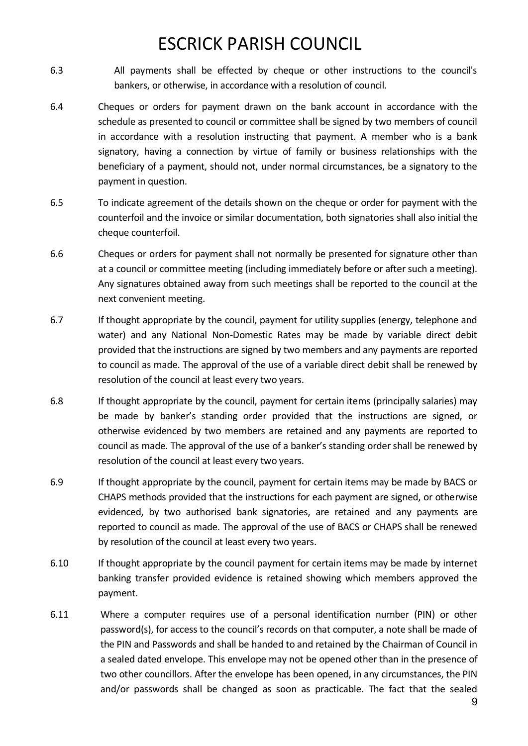- 6.3 All payments shall be effected by cheque or other instructions to the council's bankers, or otherwise, in accordance with a resolution of council.
- 6.4 Cheques or orders for payment drawn on the bank account in accordance with the schedule as presented to council or committee shall be signed by two members of council in accordance with a resolution instructing that payment. A member who is a bank signatory, having a connection by virtue of family or business relationships with the beneficiary of a payment, should not, under normal circumstances, be a signatory to the payment in question.
- 6.5 To indicate agreement of the details shown on the cheque or order for payment with the counterfoil and the invoice or similar documentation, both signatories shall also initial the cheque counterfoil.
- 6.6 Cheques or orders for payment shall not normally be presented for signature other than at a council or committee meeting (including immediately before or after such a meeting). Any signatures obtained away from such meetings shall be reported to the council at the next convenient meeting.
- 6.7 If thought appropriate by the council, payment for utility supplies (energy, telephone and water) and any National Non-Domestic Rates may be made by variable direct debit provided that the instructions are signed by two members and any payments are reported to council as made. The approval of the use of a variable direct debit shall be renewed by resolution of the council at least every two years.
- 6.8 If thought appropriate by the council, payment for certain items (principally salaries) may be made by banker's standing order provided that the instructions are signed, or otherwise evidenced by two members are retained and any payments are reported to council as made. The approval of the use of a banker's standing order shall be renewed by resolution of the council at least every two years.
- 6.9 If thought appropriate by the council, payment for certain items may be made by BACS or CHAPS methods provided that the instructions for each payment are signed, or otherwise evidenced, by two authorised bank signatories, are retained and any payments are reported to council as made. The approval of the use of BACS or CHAPS shall be renewed by resolution of the council at least every two years.
- 6.10 If thought appropriate by the council payment for certain items may be made by internet banking transfer provided evidence is retained showing which members approved the payment.
- 6.11 Where a computer requires use of a personal identification number (PIN) or other password(s), for access to the council's records on that computer, a note shall be made of the PIN and Passwords and shall be handed to and retained by the Chairman of Council in a sealed dated envelope. This envelope may not be opened other than in the presence of two other councillors. After the envelope has been opened, in any circumstances, the PIN and/or passwords shall be changed as soon as practicable. The fact that the sealed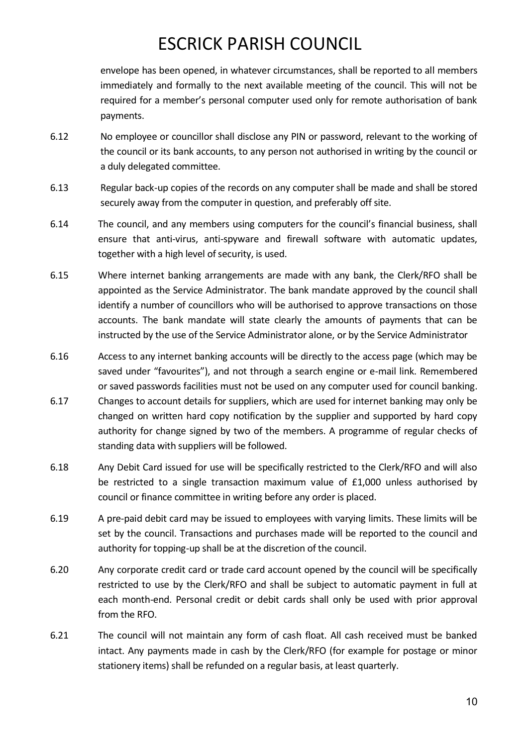envelope has been opened, in whatever circumstances, shall be reported to all members immediately and formally to the next available meeting of the council. This will not be required for a member's personal computer used only for remote authorisation of bank payments.

- 6.12 No employee or councillor shall disclose any PIN or password, relevant to the working of the council or its bank accounts, to any person not authorised in writing by the council or a duly delegated committee.
- 6.13 Regular back-up copies of the records on any computer shall be made and shall be stored securely away from the computer in question, and preferably off site.
- 6.14 The council, and any members using computers for the council's financial business, shall ensure that anti-virus, anti-spyware and firewall software with automatic updates, together with a high level of security, is used.
- 6.15 Where internet banking arrangements are made with any bank, the Clerk/RFO shall be appointed as the Service Administrator. The bank mandate approved by the council shall identify a number of councillors who will be authorised to approve transactions on those accounts. The bank mandate will state clearly the amounts of payments that can be instructed by the use of the Service Administrator alone, or by the Service Administrator
- 6.16 Access to any internet banking accounts will be directly to the access page (which may be saved under "favourites"), and not through a search engine or e-mail link. Remembered or saved passwords facilities must not be used on any computer used for council banking.
- 6.17 Changes to account details for suppliers, which are used for internet banking may only be changed on written hard copy notification by the supplier and supported by hard copy authority for change signed by two of the members. A programme of regular checks of standing data with suppliers will be followed.
- 6.18 Any Debit Card issued for use will be specifically restricted to the Clerk/RFO and will also be restricted to a single transaction maximum value of £1,000 unless authorised by council or finance committee in writing before any order is placed.
- 6.19 A pre-paid debit card may be issued to employees with varying limits. These limits will be set by the council. Transactions and purchases made will be reported to the council and authority for topping-up shall be at the discretion of the council.
- 6.20 Any corporate credit card or trade card account opened by the council will be specifically restricted to use by the Clerk/RFO and shall be subject to automatic payment in full at each month-end. Personal credit or debit cards shall only be used with prior approval from the RFO.
- 6.21 The council will not maintain any form of cash float. All cash received must be banked intact. Any payments made in cash by the Clerk/RFO (for example for postage or minor stationery items) shall be refunded on a regular basis, at least quarterly.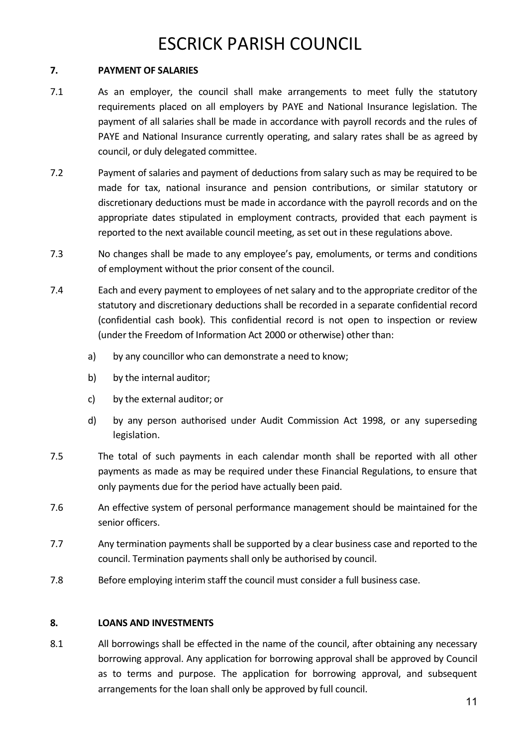### <span id="page-10-0"></span>**7. PAYMENT OF SALARIES**

- 7.1 As an employer, the council shall make arrangements to meet fully the statutory requirements placed on all employers by PAYE and National Insurance legislation. The payment of all salaries shall be made in accordance with payroll records and the rules of PAYE and National Insurance currently operating, and salary rates shall be as agreed by council, or duly delegated committee.
- 7.2 Payment of salaries and payment of deductions from salary such as may be required to be made for tax, national insurance and pension contributions, or similar statutory or discretionary deductions must be made in accordance with the payroll records and on the appropriate dates stipulated in employment contracts, provided that each payment is reported to the next available council meeting, as set out in these regulations above.
- 7.3 No changes shall be made to any employee's pay, emoluments, or terms and conditions of employment without the prior consent of the council.
- 7.4 Each and every payment to employees of net salary and to the appropriate creditor of the statutory and discretionary deductions shall be recorded in a separate confidential record (confidential cash book). This confidential record is not open to inspection or review (under the Freedom of Information Act 2000 or otherwise) other than:
	- a) by any councillor who can demonstrate a need to know;
	- b) by the internal auditor;
	- c) by the external auditor; or
	- d) by any person authorised under Audit Commission Act 1998, or any superseding legislation.
- 7.5 The total of such payments in each calendar month shall be reported with all other payments as made as may be required under these Financial Regulations, to ensure that only payments due for the period have actually been paid.
- 7.6 An effective system of personal performance management should be maintained for the senior officers.
- 7.7 Any termination payments shall be supported by a clear business case and reported to the council. Termination payments shall only be authorised by council.
- 7.8 Before employing interim staff the council must consider a full business case.

### <span id="page-10-1"></span>**8. LOANS AND INVESTMENTS**

8.1 All borrowings shall be effected in the name of the council, after obtaining any necessary borrowing approval. Any application for borrowing approval shall be approved by Council as to terms and purpose. The application for borrowing approval, and subsequent arrangements for the loan shall only be approved by full council.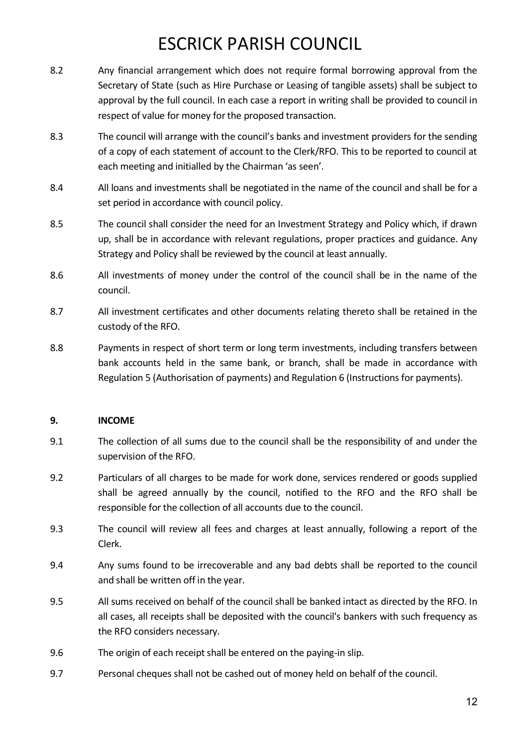- 8.2 Any financial arrangement which does not require formal borrowing approval from the Secretary of State (such as Hire Purchase or Leasing of tangible assets) shall be subject to approval by the full council. In each case a report in writing shall be provided to council in respect of value for money for the proposed transaction.
- 8.3 The council will arrange with the council's banks and investment providers for the sending of a copy of each statement of account to the Clerk/RFO. This to be reported to council at each meeting and initialled by the Chairman 'as seen'.
- 8.4 All loans and investments shall be negotiated in the name of the council and shall be for a set period in accordance with council policy.
- 8.5 The council shall consider the need for an Investment Strategy and Policy which, if drawn up, shall be in accordance with relevant regulations, proper practices and guidance. Any Strategy and Policy shall be reviewed by the council at least annually.
- 8.6 All investments of money under the control of the council shall be in the name of the council.
- 8.7 All investment certificates and other documents relating thereto shall be retained in the custody of the RFO.
- 8.8 Payments in respect of short term or long term investments, including transfers between bank accounts held in the same bank, or branch, shall be made in accordance with Regulation 5 (Authorisation of payments) and Regulation 6 (Instructions for payments).

### <span id="page-11-0"></span>**9. INCOME**

- 9.1 The collection of all sums due to the council shall be the responsibility of and under the supervision of the RFO.
- 9.2 Particulars of all charges to be made for work done, services rendered or goods supplied shall be agreed annually by the council, notified to the RFO and the RFO shall be responsible for the collection of all accounts due to the council.
- 9.3 The council will review all fees and charges at least annually, following a report of the Clerk.
- 9.4 Any sums found to be irrecoverable and any bad debts shall be reported to the council and shall be written off in the year.
- 9.5 All sums received on behalf of the council shall be banked intact as directed by the RFO. In all cases, all receipts shall be deposited with the council's bankers with such frequency as the RFO considers necessary.
- 9.6 The origin of each receipt shall be entered on the paying-in slip.
- 9.7 Personal cheques shall not be cashed out of money held on behalf of the council.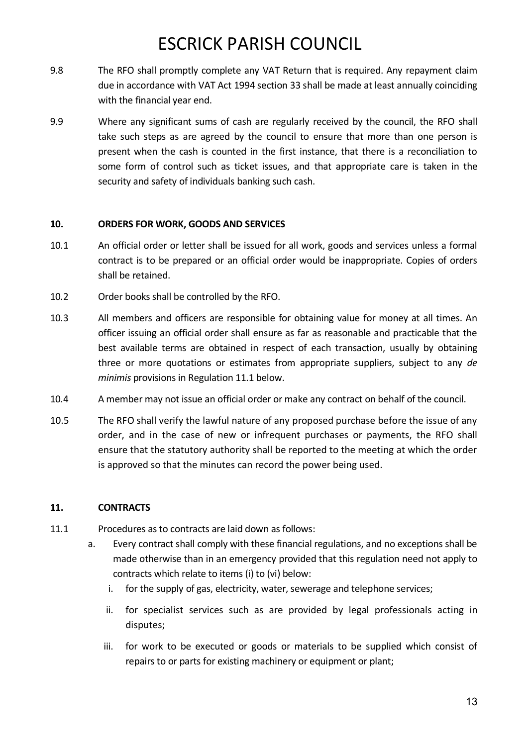- 9.8 The RFO shall promptly complete any VAT Return that is required. Any repayment claim due in accordance with VAT Act 1994 section 33 shall be made at least annually coinciding with the financial year end.
- 9.9 Where any significant sums of cash are regularly received by the council, the RFO shall take such steps as are agreed by the council to ensure that more than one person is present when the cash is counted in the first instance, that there is a reconciliation to some form of control such as ticket issues, and that appropriate care is taken in the security and safety of individuals banking such cash.

#### <span id="page-12-0"></span>**10. ORDERS FOR WORK, GOODS AND SERVICES**

- 10.1 An official order or letter shall be issued for all work, goods and services unless a formal contract is to be prepared or an official order would be inappropriate. Copies of orders shall be retained.
- 10.2 Order books shall be controlled by the RFO.
- 10.3 All members and officers are responsible for obtaining value for money at all times. An officer issuing an official order shall ensure as far as reasonable and practicable that the best available terms are obtained in respect of each transaction, usually by obtaining three or more quotations or estimates from appropriate suppliers, subject to any *de minimis* provisions in Regulation 11.1 below.
- 10.4 A member may not issue an official order or make any contract on behalf of the council.
- 10.5 The RFO shall verify the lawful nature of any proposed purchase before the issue of any order, and in the case of new or infrequent purchases or payments, the RFO shall ensure that the statutory authority shall be reported to the meeting at which the order is approved so that the minutes can record the power being used.

### <span id="page-12-1"></span>**11. CONTRACTS**

- 11.1 Procedures as to contracts are laid down as follows:
	- a. Every contract shall comply with these financial regulations, and no exceptions shall be made otherwise than in an emergency provided that this regulation need not apply to contracts which relate to items (i) to (vi) below:
		- i. for the supply of gas, electricity, water, sewerage and telephone services;
		- ii. for specialist services such as are provided by legal professionals acting in disputes;
		- iii. for work to be executed or goods or materials to be supplied which consist of repairs to or parts for existing machinery or equipment or plant;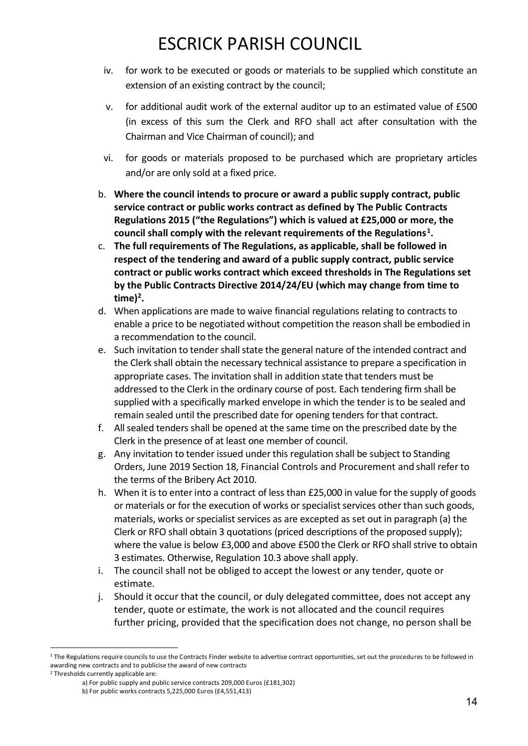- iv. for work to be executed or goods or materials to be supplied which constitute an extension of an existing contract by the council;
- v. for additional audit work of the external auditor up to an estimated value of £500 (in excess of this sum the Clerk and RFO shall act after consultation with the Chairman and Vice Chairman of council); and
- vi. for goods or materials proposed to be purchased which are proprietary articles and/or are only sold at a fixed price.
- b. **Where the council intends to procure or award a public supply contract, public service contract or public works contract as defined by The Public Contracts Regulations 2015 ("the Regulations") which is valued at £25,000 or more, the council shall comply with the relevant requirements of the Regulations<sup>1</sup> .**
- c. **The full requirements of The Regulations, as applicable, shall be followed in respect of the tendering and award of a public supply contract, public service contract or public works contract which exceed thresholds in The Regulations set by the Public Contracts Directive 2014/24/EU (which may change from time to time)<sup>2</sup> .**
- d. When applications are made to waive financial regulations relating to contracts to enable a price to be negotiated without competition the reason shall be embodied in a recommendation to the council.
- e. Such invitation to tender shall state the general nature of the intended contract and the Clerk shall obtain the necessary technical assistance to prepare a specification in appropriate cases. The invitation shall in addition state that tenders must be addressed to the Clerk in the ordinary course of post. Each tendering firm shall be supplied with a specifically marked envelope in which the tender is to be sealed and remain sealed until the prescribed date for opening tenders for that contract.
- f. All sealed tenders shall be opened at the same time on the prescribed date by the Clerk in the presence of at least one member of council.
- g. Any invitation to tender issued under this regulation shall be subject to Standing Orders, June 2019 Section 18, Financial Controls and Procurement and shall refer to the terms of the Bribery Act 2010.
- h. When it is to enter into a contract of less than £25,000 in value for the supply of goods or materials or for the execution of works or specialist services other than such goods, materials, works or specialist services as are excepted as set out in paragraph (a) the Clerk or RFO shall obtain 3 quotations (priced descriptions of the proposed supply); where the value is below £3,000 and above £500 the Clerk or RFO shall strive to obtain 3 estimates. Otherwise, Regulation 10.3 above shall apply.
- i. The council shall not be obliged to accept the lowest or any tender, quote or estimate.
- j. Should it occur that the council, or duly delegated committee, does not accept any tender, quote or estimate, the work is not allocated and the council requires further pricing, provided that the specification does not change, no person shall be

<sup>2</sup> Thresholds currently applicable are:

<sup>&</sup>lt;sup>1</sup> The Regulations require councils to use the Contracts Finder website to advertise contract opportunities, set out the procedures to be followed in awarding new contracts and to publicise the award of new contracts

a) For public supply and public service contracts 209,000 Euros (£181,302)

b) For public works contracts 5,225,000 Euros (£4,551,413)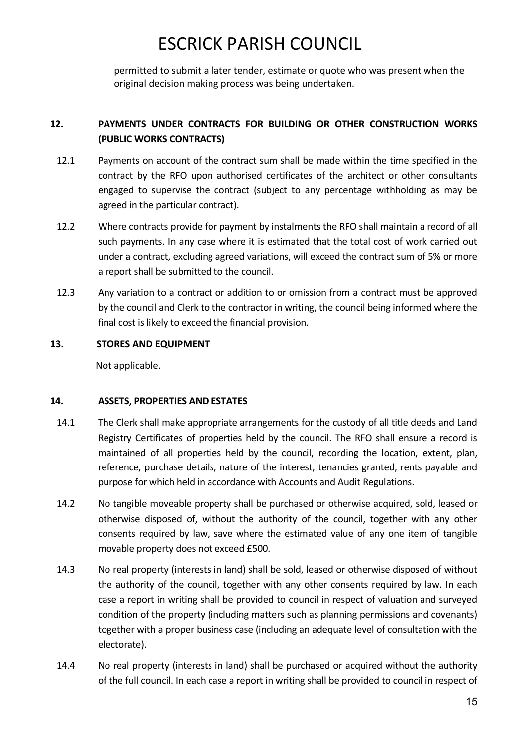permitted to submit a later tender, estimate or quote who was present when the original decision making process was being undertaken.

### <span id="page-14-0"></span>**12. PAYMENTS UNDER CONTRACTS FOR BUILDING OR OTHER CONSTRUCTION WORKS (PUBLIC WORKS CONTRACTS)**

- 12.1 Payments on account of the contract sum shall be made within the time specified in the contract by the RFO upon authorised certificates of the architect or other consultants engaged to supervise the contract (subject to any percentage withholding as may be agreed in the particular contract).
- 12.2 Where contracts provide for payment by instalments the RFO shall maintain a record of all such payments. In any case where it is estimated that the total cost of work carried out under a contract, excluding agreed variations, will exceed the contract sum of 5% or more a report shall be submitted to the council.
- 12.3 Any variation to a contract or addition to or omission from a contract must be approved by the council and Clerk to the contractor in writing, the council being informed where the final cost is likely to exceed the financial provision.

### **13. STORES AND EQUIPMENT**

Not applicable.

### <span id="page-14-1"></span>**14. ASSETS, PROPERTIES AND ESTATES**

- 14.1 The Clerk shall make appropriate arrangements for the custody of all title deeds and Land Registry Certificates of properties held by the council. The RFO shall ensure a record is maintained of all properties held by the council, recording the location, extent, plan, reference, purchase details, nature of the interest, tenancies granted, rents payable and purpose for which held in accordance with Accounts and Audit Regulations.
- 14.2 No tangible moveable property shall be purchased or otherwise acquired, sold, leased or otherwise disposed of, without the authority of the council, together with any other consents required by law, save where the estimated value of any one item of tangible movable property does not exceed £500.
- 14.3 No real property (interests in land) shall be sold, leased or otherwise disposed of without the authority of the council, together with any other consents required by law. In each case a report in writing shall be provided to council in respect of valuation and surveyed condition of the property (including matters such as planning permissions and covenants) together with a proper business case (including an adequate level of consultation with the electorate).
- 14.4 No real property (interests in land) shall be purchased or acquired without the authority of the full council. In each case a report in writing shall be provided to council in respect of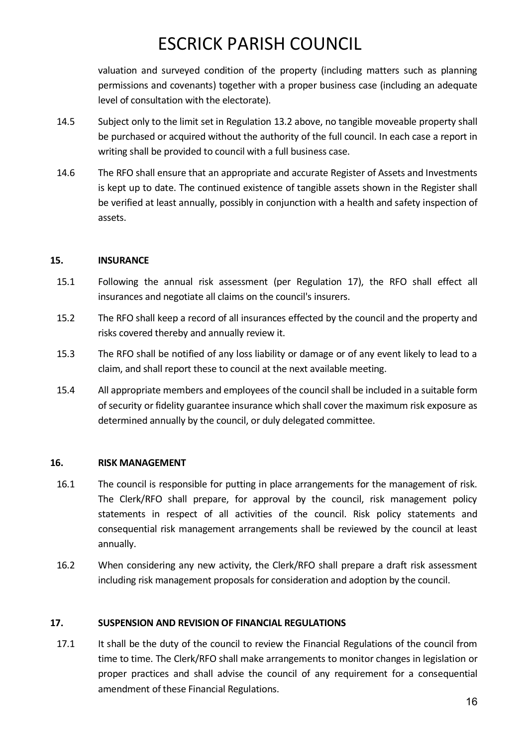valuation and surveyed condition of the property (including matters such as planning permissions and covenants) together with a proper business case (including an adequate level of consultation with the electorate).

- 14.5 Subject only to the limit set in Regulation 13.2 above, no tangible moveable property shall be purchased or acquired without the authority of the full council. In each case a report in writing shall be provided to council with a full business case.
- 14.6 The RFO shall ensure that an appropriate and accurate Register of Assets and Investments is kept up to date. The continued existence of tangible assets shown in the Register shall be verified at least annually, possibly in conjunction with a health and safety inspection of assets.

#### <span id="page-15-0"></span>**15. INSURANCE**

- 15.1 Following the annual risk assessment (per Regulation 17), the RFO shall effect all insurances and negotiate all claims on the council's insurers.
- 15.2 The RFO shall keep a record of all insurances effected by the council and the property and risks covered thereby and annually review it.
- 15.3 The RFO shall be notified of any loss liability or damage or of any event likely to lead to a claim, and shall report these to council at the next available meeting.
- 15.4 All appropriate members and employees of the council shall be included in a suitable form of security or fidelity guarantee insurance which shall cover the maximum risk exposure as determined annually by the council, or duly delegated committee.

#### <span id="page-15-1"></span>**16. RISK MANAGEMENT**

- 16.1 The council is responsible for putting in place arrangements for the management of risk. The Clerk/RFO shall prepare, for approval by the council, risk management policy statements in respect of all activities of the council. Risk policy statements and consequential risk management arrangements shall be reviewed by the council at least annually.
- 16.2 When considering any new activity, the Clerk/RFO shall prepare a draft risk assessment including risk management proposals for consideration and adoption by the council.

#### **17. SUSPENSION AND REVISION OF FINANCIAL REGULATIONS**

17.1 It shall be the duty of the council to review the Financial Regulations of the council from time to time. The Clerk/RFO shall make arrangements to monitor changes in legislation or proper practices and shall advise the council of any requirement for a consequential amendment of these Financial Regulations.